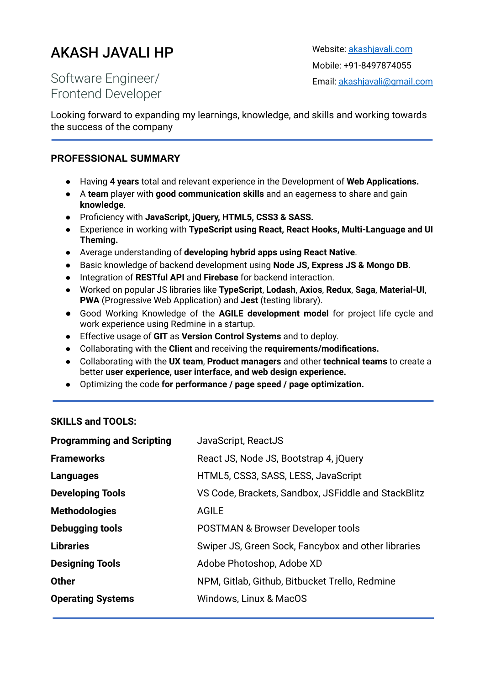# AKASH JAVALI HP

Website: [akashjavali.com](http://www.akashjavali.com) Mobile: +91-8497874055 Email: [akashjavali@gmail.com](mailto:akashjavali@gmail.com)

Software Engineer/ Frontend Developer

Looking forward to expanding my learnings, knowledge, and skills and working towards the success of the company

### **PROFESSIONAL SUMMARY**

- Having **4 years** total and relevant experience in the Development of **Web Applications.**
- A **team** player with **good communication skills** and an eagerness to share and gain **knowledge**.
- Proficiency with **JavaScript, jQuery, HTML5, CSS3 & SASS.**
- Experience in working with **TypeScript using React, React Hooks, Multi-Language and UI Theming.**
- Average understanding of **developing hybrid apps using React Native**.
- Basic knowledge of backend development using **Node JS, Express JS & Mongo DB**.
- Integration of **RESTful API** and **Firebase** for backend interaction.
- Worked on popular JS libraries like **TypeScript**, **Lodash**, **Axios**, **Redux**, **Saga**, **Material-UI**, **PWA** (Progressive Web Application) and **Jest** (testing library).
- Good Working Knowledge of the **AGILE development model** for project life cycle and work experience using Redmine in a startup.
- Effective usage of **GIT** as **Version Control Systems** and to deploy.
- Collaborating with the **Client** and receiving the **requirements/modifications.**
- Collaborating with the **UX team**, **Product managers** and other **technical teams** to create a better **user experience, user interface, and web design experience.**
- **●** Optimizing the code **for performance / page speed / page optimization.**

#### **SKILLS and TOOLS:**

| <b>Programming and Scripting</b> | JavaScript, ReactJS                                 |
|----------------------------------|-----------------------------------------------------|
| <b>Frameworks</b>                | React JS, Node JS, Bootstrap 4, jQuery              |
| Languages                        | HTML5, CSS3, SASS, LESS, JavaScript                 |
| <b>Developing Tools</b>          | VS Code, Brackets, Sandbox, JSFiddle and StackBlitz |
| <b>Methodologies</b>             | <b>AGILE</b>                                        |
| Debugging tools                  | <b>POSTMAN &amp; Browser Developer tools</b>        |
| <b>Libraries</b>                 | Swiper JS, Green Sock, Fancybox and other libraries |
| <b>Designing Tools</b>           | Adobe Photoshop, Adobe XD                           |
| <b>Other</b>                     | NPM, Gitlab, Github, Bitbucket Trello, Redmine      |
| <b>Operating Systems</b>         | Windows, Linux & MacOS                              |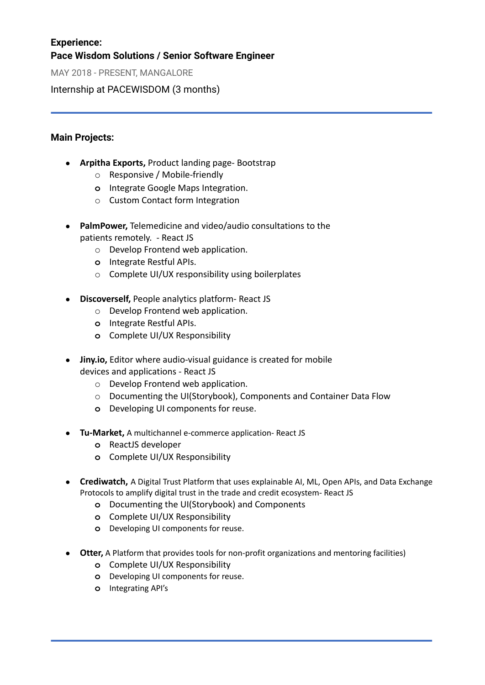## **Experience: Pace Wisdom Solutions / Senior Software Engineer**

MAY 2018 - PRESENT, MANGALORE

Internship at PACEWISDOM (3 months)

## **Main Projects:**

- **● Arpitha Exports,** Product landing page- Bootstrap
	- o Responsive / Mobile-friendly
	- **o** Integrate Google Maps Integration.
	- o Custom Contact form Integration
- **PalmPower,** Telemedicine and video/audio consultations to the patients remotely. - React JS
	- o Develop Frontend web application.
	- **o** Integrate Restful APIs.
	- o Complete UI/UX responsibility using boilerplates
- **● Discoverself,** People analytics platform- React JS
	- o Develop Frontend web application.
	- **o** Integrate Restful APIs.
	- **o** Complete UI/UX Responsibility
- **● Jiny.io,** Editor where audio-visual guidance is created for mobile devices and applications - React JS
	- o Develop Frontend web application.
	- o Documenting the UI(Storybook), Components and Container Data Flow
	- **o** Developing UI components for reuse.
- **Tu-Market,** A multichannel e-commerce application- React JS
	- **o** ReactJS developer
	- **o** Complete UI/UX Responsibility
- **Crediwatch,** A Digital Trust Platform that uses explainable AI, ML, Open APIs, and Data Exchange Protocols to amplify digital trust in the trade and credit ecosystem- React JS
	- **o** Documenting the UI(Storybook) and Components
	- **o** Complete UI/UX Responsibility
	- **o** Developing UI components for reuse.
- **Otter,** A Platform that provides tools for non-profit organizations and mentoring facilities)
	- **o** Complete UI/UX Responsibility
	- **o** Developing UI components for reuse.
	- **o** Integrating API's